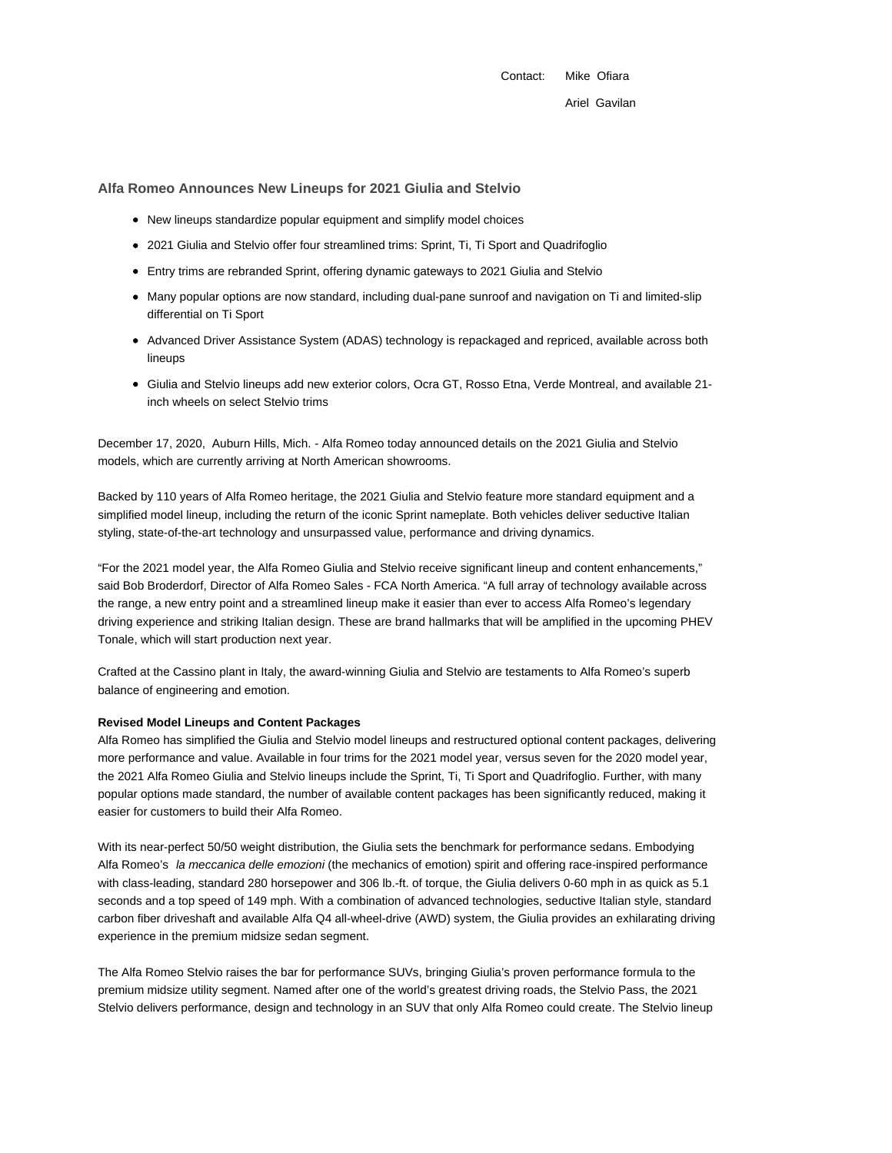Contact: Mike Ofiara Ariel Gavilan

**Alfa Romeo Announces New Lineups for 2021 Giulia and Stelvio**

- New lineups standardize popular equipment and simplify model choices
- 2021 Giulia and Stelvio offer four streamlined trims: Sprint, Ti, Ti Sport and Quadrifoglio
- Entry trims are rebranded Sprint, offering dynamic gateways to 2021 Giulia and Stelvio
- Many popular options are now standard, including dual-pane sunroof and navigation on Ti and limited-slip differential on Ti Sport
- Advanced Driver Assistance System (ADAS) technology is repackaged and repriced, available across both lineups
- Giulia and Stelvio lineups add new exterior colors, Ocra GT, Rosso Etna, Verde Montreal, and available 21 inch wheels on select Stelvio trims

December 17, 2020, Auburn Hills, Mich. - Alfa Romeo today announced details on the 2021 Giulia and Stelvio models, which are currently arriving at North American showrooms.

Backed by 110 years of Alfa Romeo heritage, the 2021 Giulia and Stelvio feature more standard equipment and a simplified model lineup, including the return of the iconic Sprint nameplate. Both vehicles deliver seductive Italian styling, state-of-the-art technology and unsurpassed value, performance and driving dynamics.

"For the 2021 model year, the Alfa Romeo Giulia and Stelvio receive significant lineup and content enhancements," said Bob Broderdorf, Director of Alfa Romeo Sales - FCA North America. "A full array of technology available across the range, a new entry point and a streamlined lineup make it easier than ever to access Alfa Romeo's legendary driving experience and striking Italian design. These are brand hallmarks that will be amplified in the upcoming PHEV Tonale, which will start production next year.

Crafted at the Cassino plant in Italy, the award-winning Giulia and Stelvio are testaments to Alfa Romeo's superb balance of engineering and emotion.

#### **Revised Model Lineups and Content Packages**

Alfa Romeo has simplified the Giulia and Stelvio model lineups and restructured optional content packages, delivering more performance and value. Available in four trims for the 2021 model year, versus seven for the 2020 model year, the 2021 Alfa Romeo Giulia and Stelvio lineups include the Sprint, Ti, Ti Sport and Quadrifoglio. Further, with many popular options made standard, the number of available content packages has been significantly reduced, making it easier for customers to build their Alfa Romeo.

With its near-perfect 50/50 weight distribution, the Giulia sets the benchmark for performance sedans. Embodying Alfa Romeo's la meccanica delle emozioni (the mechanics of emotion) spirit and offering race-inspired performance with class-leading, standard 280 horsepower and 306 lb.-ft. of torque, the Giulia delivers 0-60 mph in as quick as 5.1 seconds and a top speed of 149 mph. With a combination of advanced technologies, seductive Italian style, standard carbon fiber driveshaft and available Alfa Q4 all-wheel-drive (AWD) system, the Giulia provides an exhilarating driving experience in the premium midsize sedan segment.

The Alfa Romeo Stelvio raises the bar for performance SUVs, bringing Giulia's proven performance formula to the premium midsize utility segment. Named after one of the world's greatest driving roads, the Stelvio Pass, the 2021 Stelvio delivers performance, design and technology in an SUV that only Alfa Romeo could create. The Stelvio lineup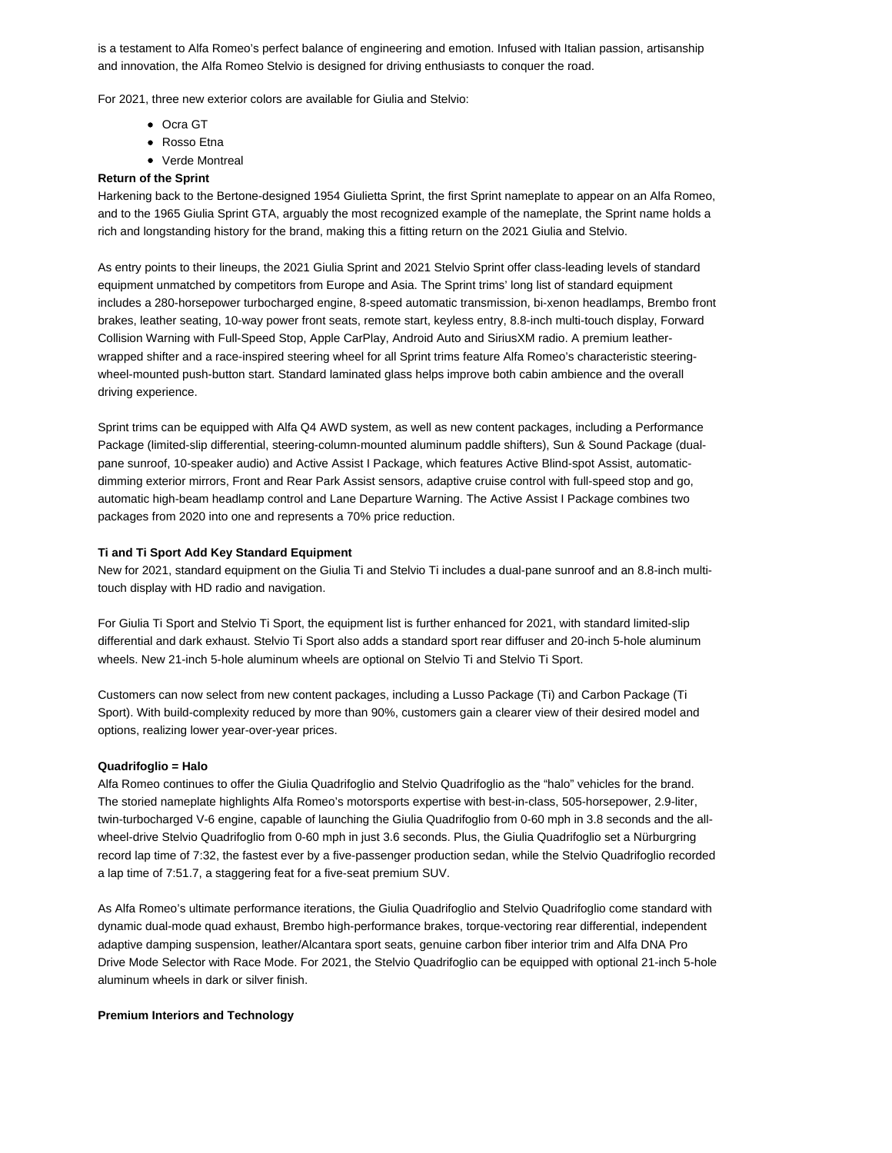is a testament to Alfa Romeo's perfect balance of engineering and emotion. Infused with Italian passion, artisanship and innovation, the Alfa Romeo Stelvio is designed for driving enthusiasts to conquer the road.

For 2021, three new exterior colors are available for Giulia and Stelvio:

- Ocra GT
- Rosso Etna
- Verde Montreal

## **Return of the Sprint**

Harkening back to the Bertone-designed 1954 Giulietta Sprint, the first Sprint nameplate to appear on an Alfa Romeo, and to the 1965 Giulia Sprint GTA, arguably the most recognized example of the nameplate, the Sprint name holds a rich and longstanding history for the brand, making this a fitting return on the 2021 Giulia and Stelvio.

As entry points to their lineups, the 2021 Giulia Sprint and 2021 Stelvio Sprint offer class-leading levels of standard equipment unmatched by competitors from Europe and Asia. The Sprint trims' long list of standard equipment includes a 280-horsepower turbocharged engine, 8-speed automatic transmission, bi-xenon headlamps, Brembo front brakes, leather seating, 10-way power front seats, remote start, keyless entry, 8.8-inch multi-touch display, Forward Collision Warning with Full-Speed Stop, Apple CarPlay, Android Auto and SiriusXM radio. A premium leatherwrapped shifter and a race-inspired steering wheel for all Sprint trims feature Alfa Romeo's characteristic steeringwheel-mounted push-button start. Standard laminated glass helps improve both cabin ambience and the overall driving experience.

Sprint trims can be equipped with Alfa Q4 AWD system, as well as new content packages, including a Performance Package (limited-slip differential, steering-column-mounted aluminum paddle shifters), Sun & Sound Package (dualpane sunroof, 10-speaker audio) and Active Assist I Package, which features Active Blind-spot Assist, automaticdimming exterior mirrors, Front and Rear Park Assist sensors, adaptive cruise control with full-speed stop and go, automatic high-beam headlamp control and Lane Departure Warning. The Active Assist I Package combines two packages from 2020 into one and represents a 70% price reduction.

### **Ti and Ti Sport Add Key Standard Equipment**

New for 2021, standard equipment on the Giulia Ti and Stelvio Ti includes a dual-pane sunroof and an 8.8-inch multitouch display with HD radio and navigation.

For Giulia Ti Sport and Stelvio Ti Sport, the equipment list is further enhanced for 2021, with standard limited-slip differential and dark exhaust. Stelvio Ti Sport also adds a standard sport rear diffuser and 20-inch 5-hole aluminum wheels. New 21-inch 5-hole aluminum wheels are optional on Stelvio Ti and Stelvio Ti Sport.

Customers can now select from new content packages, including a Lusso Package (Ti) and Carbon Package (Ti Sport). With build-complexity reduced by more than 90%, customers gain a clearer view of their desired model and options, realizing lower year-over-year prices.

### **Quadrifoglio = Halo**

Alfa Romeo continues to offer the Giulia Quadrifoglio and Stelvio Quadrifoglio as the "halo" vehicles for the brand. The storied nameplate highlights Alfa Romeo's motorsports expertise with best-in-class, 505-horsepower, 2.9-liter, twin-turbocharged V-6 engine, capable of launching the Giulia Quadrifoglio from 0-60 mph in 3.8 seconds and the allwheel-drive Stelvio Quadrifoglio from 0-60 mph in just 3.6 seconds. Plus, the Giulia Quadrifoglio set a Nürburgring record lap time of 7:32, the fastest ever by a five-passenger production sedan, while the Stelvio Quadrifoglio recorded a lap time of 7:51.7, a staggering feat for a five-seat premium SUV.

As Alfa Romeo's ultimate performance iterations, the Giulia Quadrifoglio and Stelvio Quadrifoglio come standard with dynamic dual-mode quad exhaust, Brembo high-performance brakes, torque-vectoring rear differential, independent adaptive damping suspension, leather/Alcantara sport seats, genuine carbon fiber interior trim and Alfa DNA Pro Drive Mode Selector with Race Mode. For 2021, the Stelvio Quadrifoglio can be equipped with optional 21-inch 5-hole aluminum wheels in dark or silver finish.

### **Premium Interiors and Technology**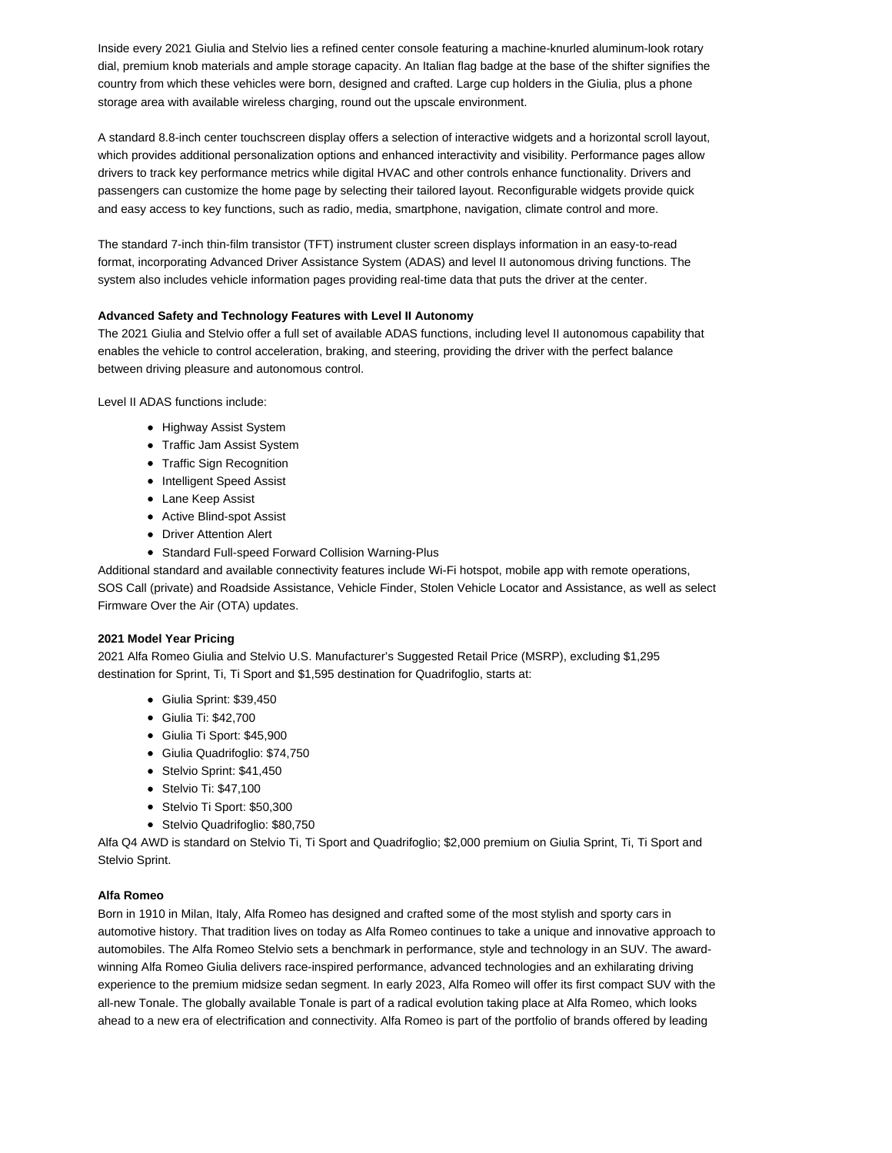Inside every 2021 Giulia and Stelvio lies a refined center console featuring a machine-knurled aluminum-look rotary dial, premium knob materials and ample storage capacity. An Italian flag badge at the base of the shifter signifies the country from which these vehicles were born, designed and crafted. Large cup holders in the Giulia, plus a phone storage area with available wireless charging, round out the upscale environment.

A standard 8.8-inch center touchscreen display offers a selection of interactive widgets and a horizontal scroll layout, which provides additional personalization options and enhanced interactivity and visibility. Performance pages allow drivers to track key performance metrics while digital HVAC and other controls enhance functionality. Drivers and passengers can customize the home page by selecting their tailored layout. Reconfigurable widgets provide quick and easy access to key functions, such as radio, media, smartphone, navigation, climate control and more.

The standard 7-inch thin-film transistor (TFT) instrument cluster screen displays information in an easy-to-read format, incorporating Advanced Driver Assistance System (ADAS) and level II autonomous driving functions. The system also includes vehicle information pages providing real-time data that puts the driver at the center.

# **Advanced Safety and Technology Features with Level II Autonomy**

The 2021 Giulia and Stelvio offer a full set of available ADAS functions, including level II autonomous capability that enables the vehicle to control acceleration, braking, and steering, providing the driver with the perfect balance between driving pleasure and autonomous control.

Level II ADAS functions include:

- Highway Assist System
- Traffic Jam Assist System
- Traffic Sign Recognition
- Intelligent Speed Assist
- Lane Keep Assist
- Active Blind-spot Assist
- Driver Attention Alert
- Standard Full-speed Forward Collision Warning-Plus

Additional standard and available connectivity features include Wi-Fi hotspot, mobile app with remote operations, SOS Call (private) and Roadside Assistance, Vehicle Finder, Stolen Vehicle Locator and Assistance, as well as select Firmware Over the Air (OTA) updates.

## **2021 Model Year Pricing**

2021 Alfa Romeo Giulia and Stelvio U.S. Manufacturer's Suggested Retail Price (MSRP), excluding \$1,295 destination for Sprint, Ti, Ti Sport and \$1,595 destination for Quadrifoglio, starts at:

- Giulia Sprint: \$39,450
- Giulia Ti: \$42,700
- Giulia Ti Sport: \$45,900
- Giulia Quadrifoglio: \$74,750
- Stelvio Sprint: \$41,450
- Stelvio Ti: \$47,100
- Stelvio Ti Sport: \$50,300
- Stelvio Quadrifoglio: \$80,750

Alfa Q4 AWD is standard on Stelvio Ti, Ti Sport and Quadrifoglio; \$2,000 premium on Giulia Sprint, Ti, Ti Sport and Stelvio Sprint.

## **Alfa Romeo**

Born in 1910 in Milan, Italy, Alfa Romeo has designed and crafted some of the most stylish and sporty cars in automotive history. That tradition lives on today as Alfa Romeo continues to take a unique and innovative approach to automobiles. The Alfa Romeo Stelvio sets a benchmark in performance, style and technology in an SUV. The awardwinning Alfa Romeo Giulia delivers race-inspired performance, advanced technologies and an exhilarating driving experience to the premium midsize sedan segment. In early 2023, Alfa Romeo will offer its first compact SUV with the all-new Tonale. The globally available Tonale is part of a radical evolution taking place at Alfa Romeo, which looks ahead to a new era of electrification and connectivity. Alfa Romeo is part of the portfolio of brands offered by leading